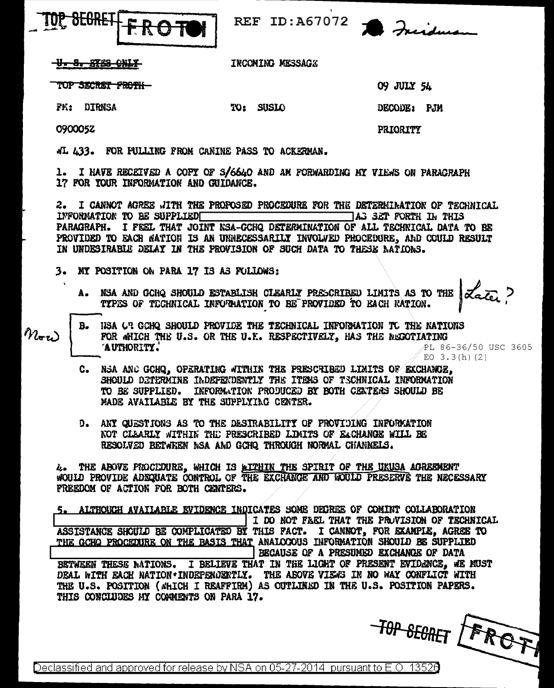

REF ID:A67072

<del>U. S. KIES CNIX</del>

FM: DIRNSA

0900052

INCOMING MESSAGE

TOP SKCRET FROTH—

09 JULY 54

DECODE: PJM

**PRIORITY** 

«I. 433. FOR PULLING FROM CANINE PASS TO ACKERMAN.

1. I HAVE RECEIVED A COPY OF S/6640 AND AN FORWARDING MY VIEWS ON PARAGRAPH 17 FOR TOUR INFORMATION AND GUIDANCE.

TO: SUSIO

2. I CANNOT AGREE JITH THE PROPOSED PROCEDURE FOR THE DETERMINATION OF TECHNICAL AG SET FORTH IN THIS INFORMATION TO BE SUPPLIED PARAGRAPH. I FEEL THAT JOINT NSA-GCHQ DETERMINATION OF ALL TECHNICAL DATA TO BE PROVIDED TO EACH NATION IS AN UNNECESSARILY INVOLVED PROCEDURE, AND COULD RESULT IN UNDESIRABLE DELAY IN THE PROVISION OF SUCH DATA TO THESE NATIONS.

- 3. MY POSITION ON PARA 17 IS AS FOLLOWS:
	- A. NSA AND GCHQ SHOULD ESTABLISH CLEARLY PRESCRIBED LIMITS AS TO THE  $\alpha_c$  ?<br>TYPES OF TECHNICAL INFORMATION TO BE PROVIDED TO EACH NATION.

- HSA OR GOHQ SHOULD PROVIDE THE TECHNICAL INFORMATION TO THE NATIONS B.  $n_{\rm ev}$ FOR WHICH THE U.S. OR THE U.K. RESPECTIVELY. HAS THE NEGOTIATING AUTHORITY. PL 86-36/50 USC 3605 EO  $3.3(h)(2)$ 
	- NSA ANC GCHQ, OPERATING WITHIN THE PRESCRIBED LIMITS OF EXCHANGE, C. SHOULD DETERMINE INDEPENDENTLY THE ITEMS OF TECHNICAL INFORMATION TO BE SUPPLIED. INFORMATION PRODUCED BY BOTH CENTERS SHOULD BE MADE AVAILABLE BY THE SUPPLYING CENTER.
	- D. ANY QUESTIONS AS TO THE DESIRABILITY OF PROVIDING INFORMATION NOT CLEARLY WITHIN THE PRESCRIBED LIMITS OF EACHANGE WILL BE RESOLVED BETWEEN NSA AND GCHQ THROUGH NORMAL CHANNELS.

4. THE ABOVE PROCEDURE, WHICH IS WITHIN THE SPIRIT OF THE UKUSA AGREEMENT WOULD PROVIDE ADEQUATE CONTROL OF THE EXCHANGE AND WOULD PRESERVE THE NECESSARY FREEDOM OF ACTION FOR BOTH CENTERS.

5. ALTHOUGH AVAILABLE EVIDENCE INDICATES SOME DEGREE OF COMINT COLLABORATION I DO NOT FAEL THAT THE PROVISION OF TECHNICAL ASSISTANCE SHOULD BE COMPLICATED BY THIS FACT. I CANNOT, FOR EXAMPLE, AGREE TO THE GCHO PROCEDURE ON THE BASIS THAT ANAIOCOUS INFORMATION SHOULD BE SUPPLIED BECAUSE OF A PRESUMED EXCHANGE OF DATA BETWEEN THESE NATIONS. I BELIEVE THAT IN THE LIGHT OF PRESENT EVIDENCE, WE MUST DEAL WITH EACH NATION \* INDEPENDENTLY. THE ABOVE VIEWS IN NO WAY CONFLICT WITH THE U.S. POSITION ( SHICH I REAFFIRM) AS OUTLINED IN THE U.S. POSITION PAPERS. THIS CONCIUDES MY COMMENTS ON PARA 17.

TOP SEGRET LEROFT